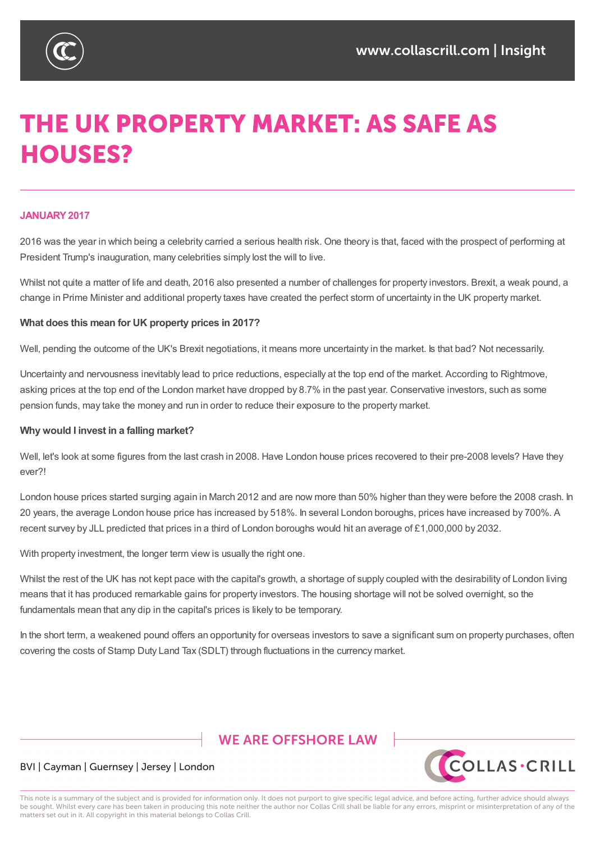

# **THE UK PROPERTY MARKET: AS SAFE AS HOUSES?**

### **JANUARY2017**

2016 was the year in which being a celebrity carried a serious health risk. One theory is that, faced with the prospect of performing at President Trump's inauguration, many celebrities simply lost the will to live.

Whilst not quite a matter of life and death, 2016 also presented a number of challenges for property investors. Brexit, a weak pound, a change in Prime Minister and additional property taxes have created the perfect storm of uncertainty in the UK property market.

#### **What does this mean for UK property prices in 2017?**

Well, pending the outcome of the UK's Brexit negotiations, it means more uncertainty in the market. Is that bad? Not necessarily.

Uncertainty and nervousness inevitably lead to price reductions, especially at the top end of the market. According to Rightmove, asking prices at the top end of the London market have dropped by 8.7% in the past year. Conservative investors, such as some pension funds, may take the money and run in order to reduce their exposure to the property market.

#### **Why would I invest in a falling market?**

Well, let's look at some figures from the last crash in 2008. Have London house prices recovered to their pre-2008 levels? Have they ever?!

London house prices started surging again in March 2012 and are now more than 50% higher than they were before the 2008 crash. In 20 years, the average London house price has increased by 518%. In several London boroughs, prices have increased by 700%. A recent survey by JLL predicted that prices in a third of London boroughs would hit an average of £1,000,000 by 2032.

With property investment, the longer term view is usually the right one.

Whilst the rest of the UK has not kept pace with the capital's growth, a shortage of supply coupled with the desirability of London living means that it has produced remarkable gains for property investors. The housing shortage will not be solved overnight, so the fundamentals mean that any dip in the capital's prices is likely to be temporary.

In the short term, a weakened pound offers an opportunity for overseas investors to save a significant sum on property purchases, often covering the costs of Stamp Duty Land Tax (SDLT) through fluctuations in the currency market.

## **WE ARE OFFSHORE I AW**



#### BVI | Cayman | Guernsey | Jersey | London

This note is a summary of the subject and is provided for information only. It does not purport to give specific legal advice, and before acting, further advice should always be sought. Whilst every care has been taken in producing this note neither the author nor Collas Crill shall be liable for any errors, misprint or misinterpretation of any of the matters set out in it. All copyright in this material belongs to Collas Crill.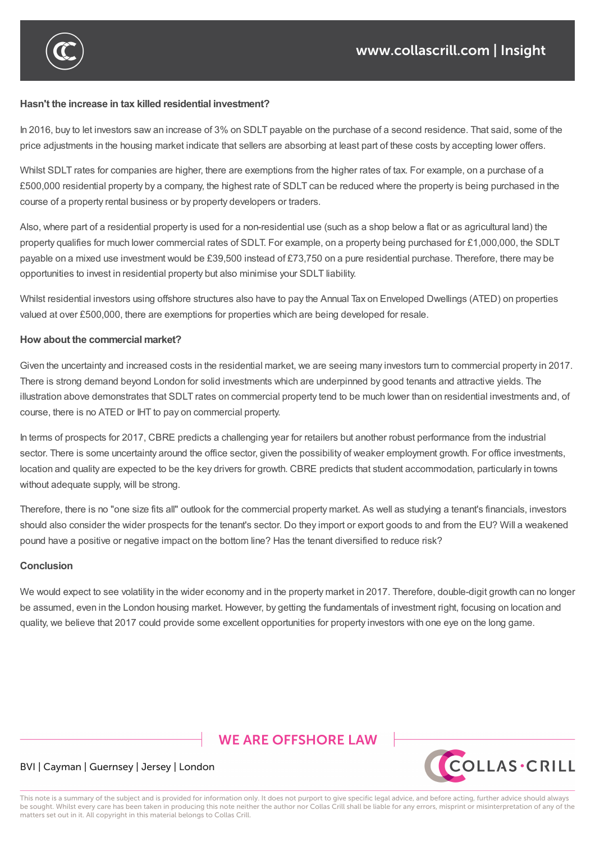

#### **Hasn't the increase in tax killed residential investment?**

In 2016, buy to let investors saw an increase of 3% on SDLT payable on the purchase of a second residence. That said, some of the price adjustments in the housing market indicate that sellers are absorbing at least part of these costs by accepting lower offers.

Whilst SDLT rates for companies are higher, there are exemptions from the higher rates of tax. For example, on a purchase of a £500,000 residential property by a company, the highest rate of SDLT can be reduced where the property is being purchased in the course of a property rental business or by property developers or traders.

Also, where part of a residential property is used for a non-residential use (such as a shop below a flat or as agricultural land) the property qualifies for much lower commercial rates of SDLT. For example, on a property being purchased for £1,000,000, the SDLT payable on a mixed use investment would be £39,500 instead of £73,750 on a pure residential purchase. Therefore, there may be opportunities to invest in residential property but also minimise your SDLT liability.

Whilst residential investors using offshore structures also have to pay the Annual Tax on Enveloped Dwellings (ATED) on properties valued at over £500,000, there are exemptions for properties which are being developed for resale.

#### **How about the commercial market?**

Given the uncertainty and increased costs in the residential market, we are seeing many investors turn to commercial property in 2017. There is strong demand beyond London for solid investments which are underpinned by good tenants and attractive yields. The illustration above demonstrates that SDLT rates on commercial property tend to be much lower than on residential investments and, of course, there is no ATED or IHT to pay on commercial property.

In terms of prospects for 2017, CBRE predicts a challenging year for retailers but another robust performance from the industrial sector. There is some uncertainty around the office sector, given the possibility of weaker employment growth. For office investments, location and quality are expected to be the key drivers for growth. CBRE predicts that student accommodation, particularly in towns without adequate supply, will be strong.

Therefore, there is no "one size fits all" outlook for the commercial property market. As well as studying a tenant's financials, investors should also consider the wider prospects for the tenant's sector. Do they import or export goods to and from the EU? Will a weakened pound have a positive or negative impact on the bottom line? Has the tenant diversified to reduce risk?

#### **Conclusion**

We would expect to see volatility in the wider economy and in the property market in 2017. Therefore, double-digit growth can no longer be assumed, even in the London housing market. However, by getting the fundamentals of investment right, focusing on location and quality, we believe that 2017 could provide some excellent opportunities for property investors with one eye on the long game.

## **WE ARE OFFSHORE LAW**



#### BVI | Cayman | Guernsey | Jersey | London

This note is a summary of the subject and is provided for information only. It does not purport to give specific legal advice, and before acting, further advice should always be sought. Whilst every care has been taken in producing this note neither the author nor Collas Crill shall be liable for any errors, misprint or misinterpretation of any of the matters set out in it. All copyright in this material belongs to Collas Crill.